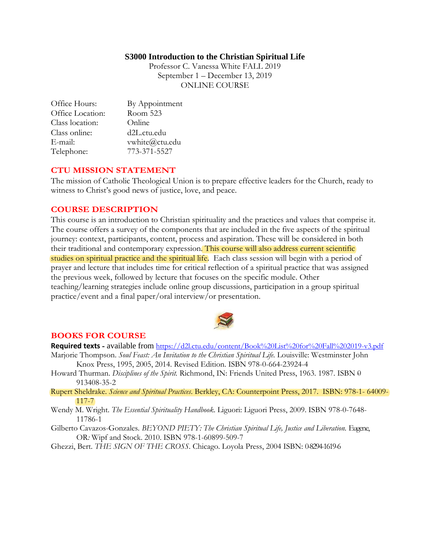#### **S3000 Introduction to the Christian Spiritual Life**

Professor C. Vanessa White FALL 2019 September 1 – December 13, 2019 ONLINE COURSE

| Office Hours:    | By Appointment |
|------------------|----------------|
| Office Location: | Room 523       |
| Class location:  | Online         |
| Class online:    | d2L.ctu.edu    |
| E-mail:          | vwhite@ctu.edu |
| Telephone:       | 773-371-5527   |

#### **CTU MISSION STATEMENT**

The mission of Catholic Theological Union is to prepare effective leaders for the Church, ready to witness to Christ's good news of justice, love, and peace.

#### **COURSE DESCRIPTION**

This course is an introduction to Christian spirituality and the practices and values that comprise it. The course offers a survey of the components that are included in the five aspects of the spiritual journey: context, participants, content, process and aspiration. These will be considered in both their traditional and contemporary expression. This course will also address current scientific studies on spiritual practice and the spiritual life. Each class session will begin with a period of prayer and lecture that includes time for critical reflection of a spiritual practice that was assigned the previous week, followed by lecture that focuses on the specific module. Other teaching/learning strategies include online group discussions, participation in a group spiritual practice/event and a final paper/oral interview/or presentation.



#### **BOOKS FOR COURSE**

- **Required texts -** available from <https://d2l.ctu.edu/content/Book%20List%20for%20Fall%202019-v3.pdf> Marjorie Thompson. *Soul Feast: An Invitation to the Christian Spiritual Life.* Louisville: Westminster John
- Knox Press, 1995, 2005, 2014. Revised Edition. ISBN 978-0-664-23924-4 Howard Thurman. *Disciplines of the Spirit.* Richmond, IN: Friends United Press, 1963. 1987. ISBN 0- 913408-35-2
- Rupert Sheldrake. *Science and Spiritual Practices*. Berkley, CA: Counterpoint Press, 2017. ISBN: 978-1- 64009- 117-7
- Wendy M. Wright. *The Essential Spirituality Handbook*. Liguori: Liguori Press, 2009. ISBN 978-0-7648- 11786-1
- Gilberto Cavazos-Gonzales. BEYOND PIETY: The Christian Spiritual Life, Justice and Liberation. Eugene, OR*:* Wipf and Stock. 2010. ISBN 978-1-60899-509-7
- Ghezzi, Bert. *THE SIGN OF THE CROSS*. Chicago. Loyola Press, 2004 ISBN: 0-8294-1619-6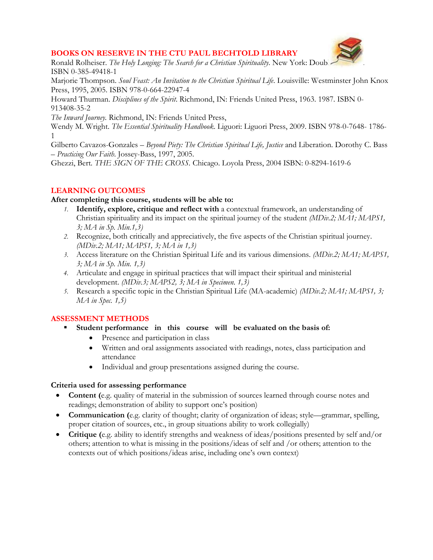# **BOOKS ON RESERVE IN THE CTU PAUL BECHTOLD LIBRARY**



Ronald Rolheiser. *The Holy Longing: The Search for a Christian Spirituality*. New York: Doub ISBN 0-385-49418-1

Marjorie Thompson. *Soul Feast: An Invitation to the Christian Spiritual Life*. Louisville: Westminster John Knox Press, 1995, 2005. ISBN 978-0-664-22947-4

Howard Thurman. *Disciplines of the Spirit*. Richmond, IN: Friends United Press, 1963. 1987. ISBN 0- 913408-35-2

*The Inward Journey.* Richmond, IN: Friends United Press,

Wendy M. Wright. *The Essential Spirituality Handbook*. Liguori: Liguori Press, 2009. ISBN 978-0-7648- 1786- 1

Gilberto Cavazos-Gonzales – *Beyond Piety: The Christian Spiritual Life, Justice* and Liberation. Dorothy C. Bass – *Practicing Our Faith*. Jossey-Bass, 1997, 2005.

Ghezzi, Bert*. THE SIGN OF THE CROSS.* Chicago. Loyola Press, 2004 ISBN: 0-8294-1619-6

# **LEARNING OUTCOMES**

#### **After completing this course, students will be able to:**

- *1.* **Identify, explore, critique and reflect with** a contextual framework, an understanding of Christian spirituality and its impact on the spiritual journey of the student *(MDiv.2; MA1; MAPS1, 3; MA in Sp. Min.1,3)*
- *2.* Recognize, both critically and appreciatively, the five aspects of the Christian spiritual journey. *(MDiv.2; MA1; MAPS1, 3; MA in 1,3)*
- *3.* Access literature on the Christian Spiritual Life and its various dimensions. *(MDiv.2; MA1; MAPS1, 3; MA in Sp. Min. 1,3)*
- *4.* Articulate and engage in spiritual practices that will impact their spiritual and ministerial development. *(MDiv.3; MAPS2, 3; MA in Specimen. 1,3)*
- *5.* Research a specific topic in the Christian Spiritual Life (MA-academic) *(MDiv.2; MA1; MAPS1, 3; MA in Spec. 1,5)*

# **ASSESSMENT METHODS**

- Student performance in this course will be evaluated on the basis of:
	- Presence and participation in class
	- Written and oral assignments associated with readings, notes, class participation and attendance
	- Individual and group presentations assigned during the course.

#### **Criteria used for assessing performance**

- **Content (**e.g. quality of material in the submission of sources learned through course notes and readings; demonstration of ability to support one's position)
- **Communication (**e.g. clarity of thought; clarity of organization of ideas; style—grammar, spelling, proper citation of sources, etc., in group situations ability to work collegially)
- **Critique (**e.g. ability to identify strengths and weakness of ideas/positions presented by self and/or others; attention to what is missing in the positions/ideas of self and /or others; attention to the contexts out of which positions/ideas arise, including one's own context)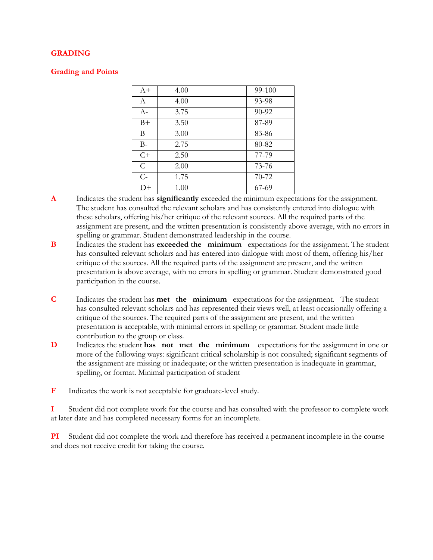#### **GRADING**

#### **Grading and Points**

| $A+$         | 4.00 | 99-100  |
|--------------|------|---------|
| A            | 4.00 | 93-98   |
| $A -$        | 3.75 | 90-92   |
| $B+$         | 3.50 | 87-89   |
| B            | 3.00 | 83-86   |
| $B-$         | 2.75 | 80-82   |
| $C+$         | 2.50 | 77-79   |
| $\mathsf{C}$ | 2.00 | 73-76   |
| $C-$         | 1.75 | 70-72   |
| $D+$         | 1.00 | $67-69$ |

- **A** Indicates the student has **significantly** exceeded the minimum expectations for the assignment. The student has consulted the relevant scholars and has consistently entered into dialogue with these scholars, offering his/her critique of the relevant sources. All the required parts of the assignment are present, and the written presentation is consistently above average, with no errors in spelling or grammar. Student demonstrated leadership in the course.
- **B** Indicates the student has **exceeded the minimum** expectations for the assignment. The student has consulted relevant scholars and has entered into dialogue with most of them, offering his/her critique of the sources. All the required parts of the assignment are present, and the written presentation is above average, with no errors in spelling or grammar. Student demonstrated good participation in the course.
- **C** Indicates the student has **met the minimum** expectations for the assignment. The student has consulted relevant scholars and has represented their views well, at least occasionally offering a critique of the sources. The required parts of the assignment are present, and the written presentation is acceptable, with minimal errors in spelling or grammar. Student made little contribution to the group or class.
- **D** Indicates the student **has not met the minimum** expectations for the assignment in one or more of the following ways: significant critical scholarship is not consulted; significant segments of the assignment are missing or inadequate; or the written presentation is inadequate in grammar, spelling, or format. Minimal participation of student
- **F** Indicates the work is not acceptable for graduate-level study.

**I** Student did not complete work for the course and has consulted with the professor to complete work at later date and has completed necessary forms for an incomplete.

**PI** Student did not complete the work and therefore has received a permanent incomplete in the course and does not receive credit for taking the course.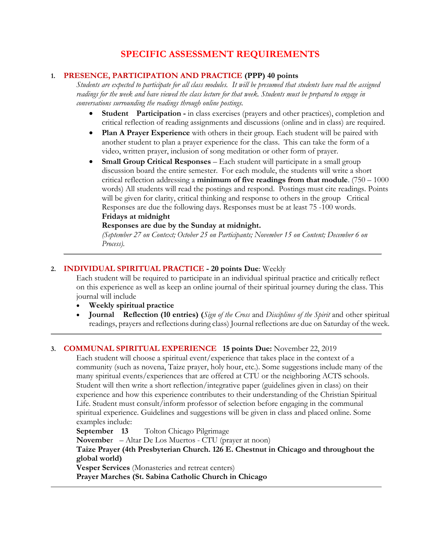# **SPECIFIC ASSESSMENT REQUIREMENTS**

#### **1. PRESENCE, PARTICIPATION AND PRACTICE (PPP) 40 points**

*Students are expected to participate for all class modules. It will be presumed that students have read the assigned readings for the week and have viewed the class lecture for that week. Students must be prepared to engage in conversations surrounding the readings through online postings.*

- **Student Participation -** in class exercises (prayers and other practices), completion and critical reflection of reading assignments and discussions (online and in class) are required.
- **Plan A Prayer Experience** with others in their group. Each student will be paired with another student to plan a prayer experience for the class. This can take the form of a video, written prayer, inclusion of song meditation or other form of prayer.
- **Small Group Critical Responses** Each student will participate in a small group discussion board the entire semester. For each module, the students will write a short critical reflection addressing a **minimum of five readings from that module**. (750 – 1000 words) All students will read the postings and respond. Postings must cite readings. Points will be given for clarity, critical thinking and response to others in the group Critical Responses are due the following days. Responses must be at least 75 -100 words.

#### **Fridays at midnight**

**Responses are due by the Sunday at midnight.** 

*(September 27 on Context; October 25 on Participants; November 15 on Content; December 6 on Process).*

# **2. INDIVIDUAL SPIRITUAL PRACTICE - 20 points Due**: Weekly

Each student will be required to participate in an individual spiritual practice and critically reflect on this experience as well as keep an online journal of their spiritual journey during the class. This journal will include

- **Weekly spiritual practice**
- **Journal Reflection (10 entries) (***Sign of the Cross* and *Disciplines of the Spirit* and other spiritual readings, prayers and reflections during class) Journal reflections are due on Saturday of the week.

# **3. COMMUNAL SPIRITUAL EXPERIENCE 15 points Due:** November 22, 2019

Each student will choose a spiritual event/experience that takes place in the context of a community (such as novena, Taize prayer, holy hour, etc.). Some suggestions include many of the many spiritual events/experiences that are offered at CTU or the neighboring ACTS schools. Student will then write a short reflection/integrative paper (guidelines given in class) on their experience and how this experience contributes to their understanding of the Christian Spiritual Life. Student must consult/inform professor of selection before engaging in the communal spiritual experience. Guidelines and suggestions will be given in class and placed online. Some examples include:

**September 13** Tolton Chicago Pilgrimage

**Novembe**r – Altar De Los Muertos - CTU (prayer at noon)

**Taize Prayer (4th Presbyterian Church. 126 E. Chestnut in Chicago and throughout the global world)** 

**Vesper Services** (Monasteries and retreat centers)

**Prayer Marches (St. Sabina Catholic Church in Chicago**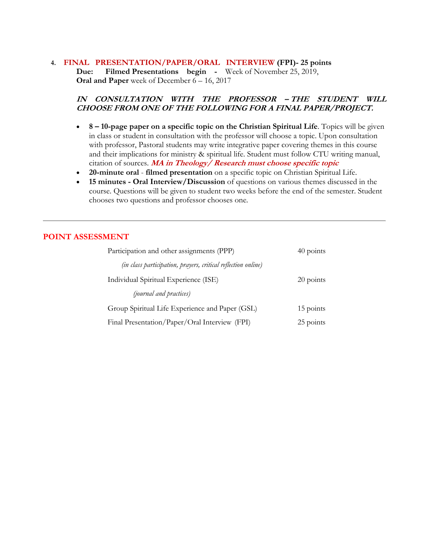# **4. FINAL PRESENTATION/PAPER/ORAL INTERVIEW (FPI)- 25 points**

**Due: Filmed Presentations begin -** Week of November 25, 2019, **Oral and Paper** week of December 6 – 16, 2017

#### **IN CONSULTATION WITH THE PROFESSOR – THE STUDENT WILL CHOOSE FROM ONE OF THE FOLLOWING FOR A FINAL PAPER/PROJECT.**

- **8 – 10-page paper on a specific topic on the Christian Spiritual Life**. Topics will be given in class or student in consultation with the professor will choose a topic. Upon consultation with professor, Pastoral students may write integrative paper covering themes in this course and their implications for ministry & spiritual life. Student must follow CTU writing manual, citation of sources. **MA in Theology/ Research must choose specific topic**
- **20-minute oral filmed presentation** on a specific topic on Christian Spiritual Life.
- **15 minutes - Oral Interview/Discussion** of questions on various themes discussed in the course. Questions will be given to student two weeks before the end of the semester. Student chooses two questions and professor chooses one.

# **POINT ASSESSMENT**

| Participation and other assignments (PPP)                     | 40 points   |
|---------------------------------------------------------------|-------------|
| (in class participation, prayers, critical reflection online) |             |
| Individual Spiritual Experience (ISE)                         | $20$ points |
| <i>(journal and practices)</i>                                |             |
| Group Spiritual Life Experience and Paper (GSL)               | 15 points   |
| Final Presentation/Paper/Oral Interview (FPI)                 | 25 points   |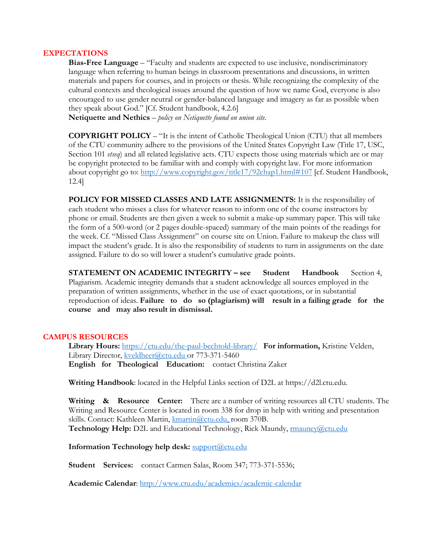#### **EXPECTATIONS**

**Bias-Free Language** – "Faculty and students are expected to use inclusive, nondiscriminatory language when referring to human beings in classroom presentations and discussions, in written materials and papers for courses, and in projects or thesis. While recognizing the complexity of the cultural contexts and theological issues around the question of how we name God, everyone is also encouraged to use gender neutral or gender-balanced language and imagery as far as possible when they speak about God." [Cf. Student handbook, 4.2.6]

**Netiquette and Nethics** *– policy on Netiquette found on union site.*

**COPYRIGHT POLICY** – "It is the intent of Catholic Theological Union (CTU) that all members of the CTU community adhere to the provisions of the United States Copyright Law (Title 17, USC, Section 101 *etseq*) and all related legislative acts. CTU expects those using materials which are or may be copyright protected to be familiar with and comply with copyright law. For more information about copyright go to:<http://www.copyright.gov/title17/92chap1.html#107> [cf. Student Handbook, 12.4]

**POLICY FOR MISSED CLASSES AND LATE ASSIGNMENTS:** It is the responsibility of each student who misses a class for whatever reason to inform one of the course instructors by phone or email. Students are then given a week to submit a make-up summary paper. This will take the form of a 500-word (or 2 pages double-spaced) summary of the main points of the readings for the week. Cf. "Missed Class Assignment" on course site on Union. Failure to makeup the class will impact the student's grade. It is also the responsibility of students to turn in assignments on the date assigned. Failure to do so will lower a student's cumulative grade points.

**STATEMENT ON ACADEMIC INTEGRITY – see Student Handbook** Section 4, Plagiarism. Academic integrity demands that a student acknowledge all sources employed in the preparation of written assignments, whether in the use of exact quotations, or in substantial reproduction of ideas. **Failure to do so (plagiarism) will result in a failing grade for the course and may also result in dismissal.**

#### **CAMPUS RESOURCES**

**Library Hours:** <https://ctu.edu/the-paul-bechtold-library/>**For information,** Kristine Velden, Library Director, [kveldheer@ctu.edu o](mailto:kveldheer@ctu.edu)r 773-371-5460 **English for Theological Education:** contact Christina Zaker

**Writing Handbook**: located in the Helpful Links section of D2L at https://d2l.ctu.edu.

**Writing & Resource Center:** There are a number of writing resources all CTU students. The Writing and Resource Center is located in room 338 for drop in help with writing and presentation skills. Contact: Kathleen Martin, [kmartin@ctu.edu, r](mailto:kmartin@ctu.edu)oom 370B. **Technology Help:** D2L and Educational Technology, Rick Maundy, [rmauney@ctu.edu](mailto:rmauney@ctu.edu)

**Information Technology help desk:** support(@ctu.edu

**Student Services:** contact Carmen Salas, Room 347; 773-371-5536;

**Academic Calendar**:<http://www.ctu.edu/academics/academic-calendar>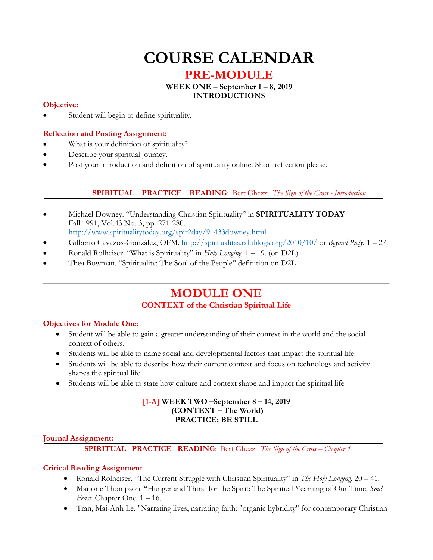# **COURSE CALENDAR**

# **PRE-MODULE**

#### **WEEK ONE – September 1 – 8, 2019 INTRODUCTIONS**

#### **Objective:**

Student will begin to define spirituality.

# **Reflection and Posting Assignment:**

- What is your definition of spirituality?
- Describe your spiritual journey.
- Post your introduction and definition of spirituality online. Short reflection please.

# **SPIRITUAL PRACTICE READING**: Bert Ghezzi*. The Sign of the Cross - Introduction*

- Michael Downey. "Understanding Christian Spirituality" in **SPIRITUALITY TODAY** Fall 1991, Vol.43 No. 3, pp. 271-280.
- <http://www.spiritualitytoday.org/spir2day/91433downey.html>
- Gilberto Cavazos-González, OFM.<http://spiritualitas.edublogs.org/2010/10/> or *Beyond Piety.* 1 27.
- Ronald Rolheiser. "What is Spirituality" in *Holy Longing.* 1 19. (on D2L)
- Thea Bowman. "Spirituality: The Soul of the People" definition on D2L

# **MODULE ONE**

# **CONTEXT of the Christian Spiritual Life**

# **Objectives for Module One:**

- Student will be able to gain a greater understanding of their context in the world and the social context of others.
- Students will be able to name social and developmental factors that impact the spiritual life.
- Students will be able to describe how their current context and focus on technology and activity shapes the spiritual life
- Students will be able to state how culture and context shape and impact the spiritual life

# **[1-A] WEEK TWO –September 8 – 14, 2019 (CONTEXT – The World) PRACTICE: BE STILL**

# **Journal Assignment:**

**SPIRITUAL PRACTICE READING**: Bert Ghezzi. *The Sign of the Cross – Chapter 1*

# **Critical Reading Assignment**

- Ronald Rolheiser. "The Current Struggle with Christian Spirituality" in *The Holy Longing*. 20 41.
- Marjorie Thompson. "Hunger and Thirst for the Spirit: The Spiritual Yearning of Our Time. *Soul Feast*. Chapter One. 1 – 16.
- Tran, Mai-Anh Le. "Narrating lives, narrating faith: "organic hybridity" for contemporary Christian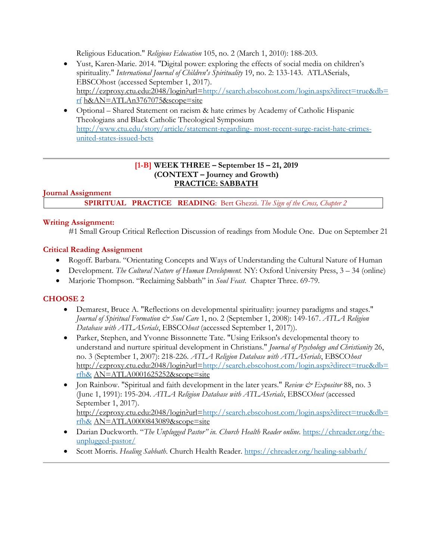Religious Education." *Religious Education* 105, no. 2 (March 1, 2010): 188-203.

- Yust, Karen-Marie. 2014. "Digital power: exploring the effects of social media on children's spirituality." *International Journal of Children's Spirituality* 19, no. 2: 133-143. ATLASerials, EBSCOhost (accessed September 1, 2017). http://ezproxy.ctu.edu:2048/login?url[=http://search.ebscohost.com/login.aspx?direct=true&db=](http://search.ebscohost.com/login.aspx?direct=true&db=rf) [rf](http://search.ebscohost.com/login.aspx?direct=true&db=rf) h&AN=ATLAn3767075&scope=site
- Optional Shared Statement on racism & hate crimes by Academy of Catholic Hispanic Theologians and Black Catholic Theological Symposium [http://www.ctu.edu/story/article/statement-regarding-](http://www.ctu.edu/story/article/statement-regarding-most-recent-surge-racist-hate-crimes-united-states-issued-bcts) [most-recent-surge-racist-hate-crimes](http://www.ctu.edu/story/article/statement-regarding-most-recent-surge-racist-hate-crimes-united-states-issued-bcts)[united-states-issued-bcts](http://www.ctu.edu/story/article/statement-regarding-most-recent-surge-racist-hate-crimes-united-states-issued-bcts)

# **[1-B] WEEK THREE – September 15 – 21, 2019 (CONTEXT – Journey and Growth) PRACTICE: SABBATH**

# **Journal Assignment**

**SPIRITUAL PRACTICE READING**: Bert Ghezzi. *The Sign of the Cross, Chapter 2*

# **Writing Assignment:**

#1 Small Group Critical Reflection Discussion of readings from Module One. Due on September 21

# **Critical Reading Assignment**

- Rogoff. Barbara. "Orientating Concepts and Ways of Understanding the Cultural Nature of Human
- Development. *The Cultural Nature of Human Development.* NY: Oxford University Press, 3 34 (online)
- Marjorie Thompson. "Reclaiming Sabbath" in *Soul Feast*. Chapter Three. 69-79.

# **CHOOSE 2**

- Demarest, Bruce A. "Reflections on developmental spirituality: journey paradigms and stages." *Journal of Spiritual Formation & Soul Care* 1, no. 2 (September 1, 2008): 149-167. *ATLA Religion Database with ATLASerials*, EBSCO*host* (accessed September 1, 2017)).
- Parker, Stephen, and Yvonne Bissonnette Tate. "Using Erikson's developmental theory to understand and nurture spiritual development in Christians." *Journal of Psychology and Christianity* 26, no. 3 (September 1, 2007): 218-226. *ATLA Religion Database with ATLASerials*, EBSCO*host*  http://ezproxy.ctu.edu:2048/login?url[=http://search.ebscohost.com/login.aspx?direct=true&db=](http://search.ebscohost.com/login.aspx?direct=true&db=rfh) [rfh&](http://search.ebscohost.com/login.aspx?direct=true&db=rfh) AN=ATLA0001625252&scope=site
- Ion Rainbow. "Spiritual and faith development in the later years." *Review & Expositor* 88, no. 3 (June 1, 1991): 195-204. *ATLA Religion Database with ATLASerials*, EBSCO*host* (accessed September 1, 2017). http://ezproxy.ctu.edu:2048/login?url[=http://search.ebscohost.com/login.aspx?direct=true&db=](http://search.ebscohost.com/login.aspx?direct=true&db=rfh) [rfh&](http://search.ebscohost.com/login.aspx?direct=true&db=rfh) AN=ATLA0000843089&scope=site
- Darian Duckworth. "*The Unplugged Pastor" in. Church Health Reader online.* [https://chreader.org/the](https://chreader.org/the-unplugged-pastor/)[unplugged-pastor/](https://chreader.org/the-unplugged-pastor/)
- Scott Morris. *Healing Sabbath*. Church Health Reader.<https://chreader.org/healing-sabbath/>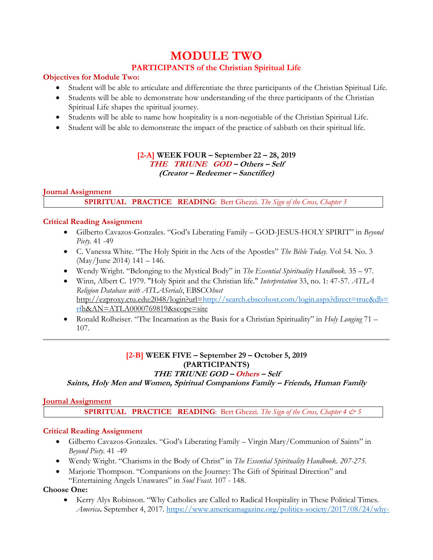# **MODULE TWO**

# **PARTICIPANTS of the Christian Spiritual Life**

#### **Objectives for Module Two:**

- Student will be able to articulate and differentiate the three participants of the Christian Spiritual Life.
- Students will be able to demonstrate how understanding of the three participants of the Christian Spiritual Life shapes the spiritual journey.
- Students will be able to name how hospitality is a non-negotiable of the Christian Spiritual Life.
- Student will be able to demonstrate the impact of the practice of sabbath on their spiritual life.

# **[2-A] WEEK FOUR – September 22 – 28, 2019 THE TRIUNE GOD – Others – Self (Creator – Redeemer – Sanctifier)**

#### **Journal Assignment SPIRITUAL PRACTICE READING**: Bert Ghezzi. *The Sign of the Cross, Chapter 3*

#### **Critical Reading Assignment**

- Gilberto Cavazos-Gonzales. "God's Liberating Family GOD-JESUS-HOLY SPIRIT" in *Beyond Piety*. 41 -49
- C. Vanessa White. "The Holy Spirit in the Acts of the Apostles" *The Bible Today.* Vol 54. No. 3 (May/June 2014) 141 – 146.
- Wendy Wright. "Belonging to the Mystical Body" in *The Essential Spirituality Handbook.* 35 97.
- Winn, Albert C. 1979. "Holy Spirit and the Christian life." *Interpretation* 33, no. 1: 47-57. *ATLA Religion Database with ATLASerials*, EBSCO*host*  http://ezproxy.ctu.edu:2048/login?url[=http://search.ebscohost.com/login.aspx?direct=true&db=](http://search.ebscohost.com/login.aspx?direct=true&db=rf) [rfh](http://search.ebscohost.com/login.aspx?direct=true&db=rf)&AN=ATLA0000769819&scope=site
- Ronald Rolheiser. "The Incarnation as the Basis for a Christian Spirituality" in *Holy Longing* 71 107.

# **[2-B] WEEK FIVE – September 29 – October 5, 2019 (PARTICIPANTS)**

#### **THE TRIUNE GOD – Others – Self**

**Saints, Holy Men and Women, Spiritual Companions Family – Friends, Human Family**

#### **Journal Assignment**

**SPIRITUAL PRACTICE READING**: Bert Ghezzi. *The Sign of the Cross, Chapter 4 & 5*

#### **Critical Reading Assignment**

- Gilberto Cavazos-Gonzales. "God's Liberating Family Virgin Mary/Communion of Saints" in *Beyond Piety.* 41 -49
- Wendy Wright. "Charisms in the Body of Christ" in *The Essential Spirituality Handbook. 207-275.*
- Marjorie Thompson. "Companions on the Journey: The Gift of Spiritual Direction" and "Entertaining Angels Unawares" in *Soul Feast.* 107 - 148.

#### **Choose One:**

• Kerry Alys Robinson. "Why Catholics are Called to Radical Hospitality in These Political Times. *America***.** September 4, 2017. [https://www.americamagazine.org/politics-society/2017/08/24/why-](https://www.americamagazine.org/politics-society/2017/08/24/why-catholics-are-called-radical-hospitality-these-political-times)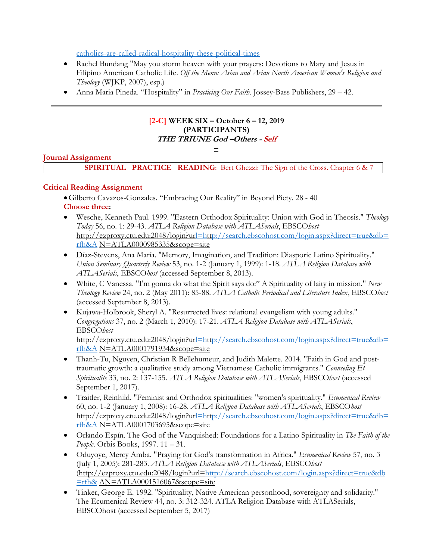[catholics-are-called-radical-hospitality-these-political-times](https://www.americamagazine.org/politics-society/2017/08/24/why-catholics-are-called-radical-hospitality-these-political-times)

- Rachel Bundang "May you storm heaven with your prayers: Devotions to Mary and Jesus in Filipino American Catholic Life. *Off the Menu: Asian and Asian North American Women's Religion and Theology* (WJKP, 2007), esp.)
- Anna Maria Pineda. "Hospitality" in *Practicing Our Faith*. Jossey-Bass Publishers, 29 42.

# **[2-C] WEEK SIX – October 6 – 12, 2019 (PARTICIPANTS) THE TRIUNE God –Others - Self**

**–**

#### **Journal Assignment**

**SPIRITUAL PRACTICE READING:** Bert Ghezzi: The Sign of the Cross. Chapter 6 & 7

# **Critical Reading Assignment**

•Gilberto Cavazos-Gonzales. "Embracing Our Reality" in Beyond Piety. 28 - 40 **Choose three:**

- Wesche, Kenneth Paul. 1999. "Eastern Orthodox Spirituality: Union with God in Theosis." *Theology Today* 56, no. 1: 29-43. *ATLA Religion Database with ATLASerials*, EBSCO*host*  http://ezproxy.ctu.edu:2048/login?u[rl=http://search.ebscohost.com/login.aspx?direct=true&db=](http://search.ebscohost.com/login.aspx?direct=true&db=rfh&A) [rfh&A](http://search.ebscohost.com/login.aspx?direct=true&db=rfh&A) N=ATLA0000985335&scope=site
- Díaz-Stevens, Ana María. "Memory, Imagination, and Tradition: Diasporic Latino Spirituality." *Union Seminary Quarterly Review* 53, no. 1-2 (January 1, 1999): 1-18. *ATLA Religion Database with ATLASerials*, EBSCO*host* (accessed September 8, 2013).
- White, C Vanessa. "I'm gonna do what the Spirit says do:" A Spirituality of laity in mission." *New Theology Review* 24, no. 2 (May 2011): 85-88. *ATLA Catholic Periodical and Literature Index*, EBSCO*host*  (accessed September 8, 2013).
- Kujawa-Holbrook, Sheryl A. "Resurrected lives: relational evangelism with young adults." *Congregations* 37, no. 2 (March 1, 2010): 17-21. *ATLA Religion Database with ATLASerials*, EBSCO*host*  http://ezproxy.ctu.edu:2048/login?u[rl=http://search.ebscohost.com/login.aspx?direct=true&db=](http://search.ebscohost.com/login.aspx?direct=true&db=rfh&A) [rfh&A](http://search.ebscohost.com/login.aspx?direct=true&db=rfh&A) N=ATLA0001791934&scope=site
- Thanh-Tu, Nguyen, Christian R Bellehumeur, and Judith Malette. 2014. "Faith in God and posttraumatic growth: a qualitative study among Vietnamese Catholic immigrants." *Counseling Et Spiritualité*33, no. 2: 137-155. *ATLA Religion Database with ATLASerials*, EBSCO*host* (accessed September 1, 2017).
- Traitler, Reinhild. "Feminist and Orthodox spiritualities: "women's spirituality." *Ecumenical Review*  60, no. 1-2 (January 1, 2008): 16-28. *ATLA Religion Database with ATLASerials*, EBSCO*host*  http://ezproxy.ctu.edu:2048/login?u[rl=http://search.ebscohost.com/login.aspx?direct=true&db=](http://search.ebscohost.com/login.aspx?direct=true&db=rfh&A) [rfh&A](http://search.ebscohost.com/login.aspx?direct=true&db=rfh&A) N=ATLA0001703695&scope=site
- Orlando Espín. The God of the Vanquished: Foundations for a Latino Spirituality in *The Faith of the People*. Orbis Books, 1997. 11 – 31.
- Oduyoye, Mercy Amba. "Praying for God's transformation in Africa." *Ecumenical Review* 57, no. 3 (July 1, 2005): 281-283. *ATLA Religion Database with ATLASerials*, EBSCO*host*  (http://ezproxy.ctu.edu:2048/login?url[=http://search.ebscohost.com/login.aspx?direct=true&db](http://search.ebscohost.com/login.aspx?direct=true&db=rfh) [=rfh&](http://search.ebscohost.com/login.aspx?direct=true&db=rfh) AN=ATLA0001516067&scope=site
- Tinker, George E. 1992. "Spirituality, Native American personhood, sovereignty and solidarity." The Ecumenical Review 44, no. 3: 312-324. ATLA Religion Database with ATLASerials, EBSCOhost (accessed September 5, 2017)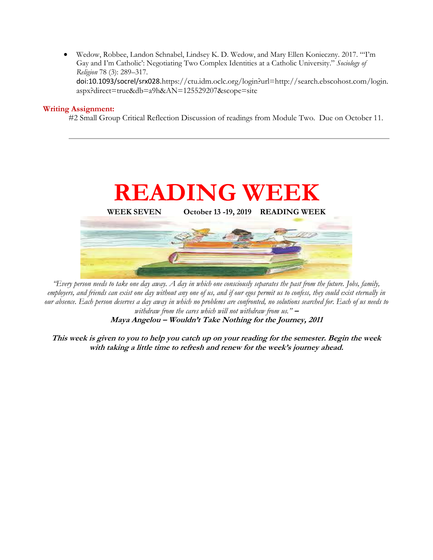• Wedow, Robbee, Landon Schnabel, Lindsey K. D. Wedow, and Mary Ellen Konieczny. 2017. "'I'm Gay and I'm Catholic': Negotiating Two Complex Identities at a Catholic University." *Sociology of Religion* 78 (3): 289–317. doi:10.1093/socrel/srx028.https://ctu.idm.oclc.org/login?url=http://search.ebscohost.com/login. aspx?direct=true&db=a9h&AN=125529207&scope=site

#### **Writing Assignment:**

#2 Small Group Critical Reflection Discussion of readings from Module Two. Due on October 11.



*"Every person needs to take one day away. A day in which one consciously separates the past from the future. Jobs, family, employers, and friends can exist one day without any one of us, and if our egos permit us to confess, they could exist eternally in our absence. Each person deserves a day away in which no problems are confronted, no solutions searched for. Each of us needs to withdraw from the cares which will not withdraw from us."* **–**

**Maya Angelou – Wouldn't Take Nothing for the Journey, 2011**

**This week is given to you to help you catch up on your reading for the semester. Begin the week with taking a little time to refresh and renew for the week's journey ahead.**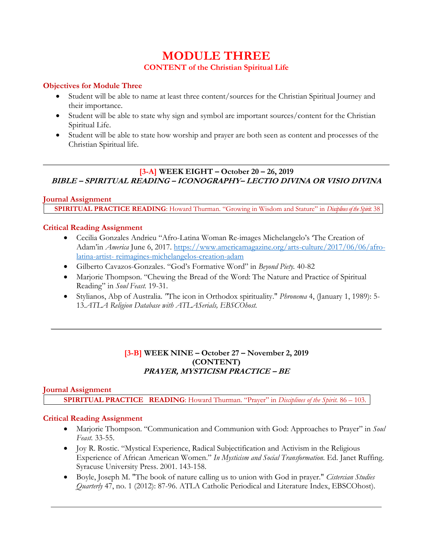# **MODULE THREE**

# **CONTENT of the Christian Spiritual Life**

# **Objectives for Module Three**

- Student will be able to name at least three content/sources for the Christian Spiritual Journey and their importance.
- Student will be able to state why sign and symbol are important sources/content for the Christian Spiritual Life.
- Student will be able to state how worship and prayer are both seen as content and processes of the Christian Spiritual life.

# **[3-A] WEEK EIGHT – October 20 – 26, 2019**

# **BIBLE – SPIRITUAL READING – ICONOGRAPHY– LECTIO DIVINA OR VISIO DIVINA**

# **Journal Assignment**

**SPIRITUAL PRACTICE READING**: Howard Thurman. "Growing in Wisdom and Stature" in *Disciplines of the Spirit.* 38

# **Critical Reading Assignment**

- Cecilia Gonzales Andrieu "Afro-Latina Woman Re-images Michelangelo's 'The Creation of Adam'in *America* June 6, 2017. [https://www.americamagazine.org/arts-culture/2017/06/06/afro](https://www.americamagazine.org/arts-culture/2017/06/06/afro-latina-artist-reimagines-michelangelos-creation-adam)[latina-artist-](https://www.americamagazine.org/arts-culture/2017/06/06/afro-latina-artist-reimagines-michelangelos-creation-adam) [reimagines-michelangelos-creation-adam](https://www.americamagazine.org/arts-culture/2017/06/06/afro-latina-artist-reimagines-michelangelos-creation-adam)
- Gilberto Cavazos-Gonzales. "God's Formative Word" in *Beyond Piety.* 40-82
- Marjorie Thompson. "Chewing the Bread of the Word: The Nature and Practice of Spiritual Reading" in *Soul Feast.* 19-31.
- Stylianos, Abp of Australia. *"*The icon in Orthodox spirituality." *Phronema* 4, (January 1, 1989): 5- 13.*ATLA Religion Database with ATLASerials, EBSCOhost.*

# **[3-B] WEEK NINE – October 27 – November 2, 2019 (CONTENT) PRAYER, MYSTICISM PRACTICE – BE**

#### **Journal Assignment**

**SPIRITUAL PRACTICE READING**: Howard Thurman. "Prayer" in *Disciplines of the Spirit.* 86 – 103.

# **Critical Reading Assignment**

- Marjorie Thompson. "Communication and Communion with God: Approaches to Prayer" in *Soul Feast.* 33-55.
- Joy R. Rostic. "Mystical Experience, Radical Subjectification and Activism in the Religious Experience of African American Women." *In Mysticism and Social Transformation.* Ed. Janet Ruffing. Syracuse University Press. 2001. 143-158.
- Boyle, Joseph M. "The book of nature calling us to union with God in prayer." *Cistercian Studies Quarterly* 47, no. 1 (2012): 87-96. ATLA Catholic Periodical and Literature Index, EBSCOhost).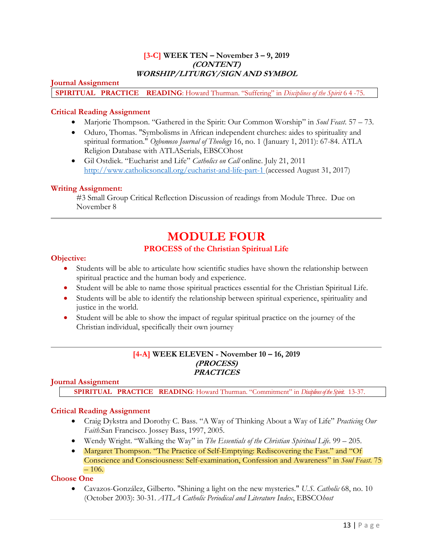# **[3-C] WEEK TEN – November 3 – 9, 2019 (CONTENT) WORSHIP/LITURGY/SIGN AND SYMBOL**

#### **Journal Assignment**

**SPIRITUAL PRACTICE READING**: Howard Thurman. "Suffering" in *Disciplines of the Spirit* 6 4 -75.

#### **Critical Reading Assignment**

- Marjorie Thompson. "Gathered in the Spirit: Our Common Worship" in *Soul Feast*. 57 73.
- Oduro, Thomas. "Symbolisms in African independent churches: aides to spirituality and spiritual formation." *Ogbomoso Journal of Theology* 16, no. 1 (January 1, 2011): 67-84. ATLA Religion Database with ATLASerials, EBSCOhost
- Gil Ostdiek. "Eucharist and Life" *Catholics on Call* online. July 21, 2011 [http://www.catholicsoncall.org/eucharist-and-life-part-1 \(](http://www.catholicsoncall.org/eucharist-and-life-part-1)accessed August 31, 2017)

#### **Writing Assignment:**

#3 Small Group Critical Reflection Discussion of readings from Module Three. Due on November 8

# **MODULE FOUR**

# **PROCESS of the Christian Spiritual Life**

#### **Objective:**

- Students will be able to articulate how scientific studies have shown the relationship between spiritual practice and the human body and experience.
- Student will be able to name those spiritual practices essential for the Christian Spiritual Life.
- Students will be able to identify the relationship between spiritual experience, spirituality and justice in the world.
- Student will be able to show the impact of regular spiritual practice on the journey of the Christian individual, specifically their own journey

#### **[4-A] WEEK ELEVEN - November 10 – 16, 2019 (PROCESS) PRACTICES**

#### **Journal Assignment**

**SPIRITUAL PRACTICE READING**: Howard Thurman. "Commitment" in *Disciplines of the Spirit*. 13-37.

#### **Critical Reading Assignment**

- Craig Dykstra and Dorothy C. Bass. "A Way of Thinking About a Way of Life" *Practicing Our Faith*.San Francisco. Jossey Bass, 1997, 2005.
- Wendy Wright. "Walking the Way" in *The Essentials of the Christian Spiritual Life.* 99 205.
- Margaret Thompson. "The Practice of Self-Emptying: Rediscovering the Fast." and "Of Conscience and Consciousness: Self-examination, Confession and Awareness" in *Soul Feast*. 75  $-106.$

#### **Choose One**

• Cavazos-González, Gilberto. "Shining a light on the new mysteries." *U.S. Catholic* 68, no. 10 (October 2003): 30-31. *ATLA Catholic Periodical and Literature Index*, EBSCO*host*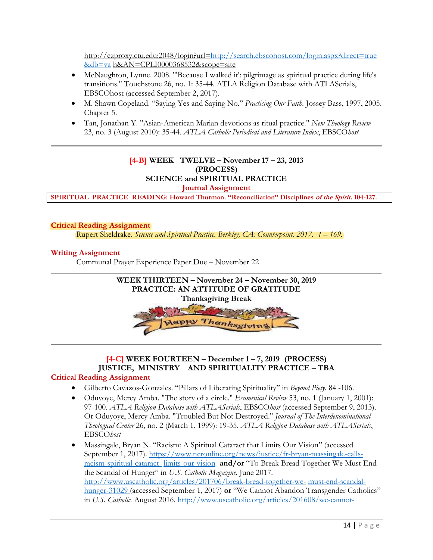http://ezproxy.ctu.edu:2048/login?url[=http://search.ebscohost.com/login.aspx?direct=true](http://search.ebscohost.com/login.aspx?direct=true&db=va) [&db=va](http://search.ebscohost.com/login.aspx?direct=true&db=va) h&AN=CPLI0000368532&scope=site

- McNaughton, Lynne. 2008. "'Because I walked it': pilgrimage as spiritual practice during life's transitions." Touchstone 26, no. 1: 35-44. ATLA Religion Database with ATLASerials, EBSCOhost (accessed September 2, 2017).
- M. Shawn Copeland. "Saying Yes and Saying No." *Practicing Our Faith.* Jossey Bass, 1997, 2005. Chapter 5.
- Tan, Jonathan Y. "Asian-American Marian devotions as ritual practice." *New Theology Review*  23, no. 3 (August 2010): 35-44. *ATLA Catholic Periodical and Literature Index*, EBSCO*host*

#### **[4-B] WEEK TWELVE – November 17 – 23, 2013 (PROCESS) SCIENCE and SPIRITUAL PRACTICE Journal Assignment**

**SPIRITUAL PRACTICE READING: Howard Thurman. "Reconciliation" Disciplines of the Spirit. 104-127.**

#### **Critical Reading Assignment**

Rupert Sheldrake. *Science and Spiritual Practice. Berkley, CA: Counterpoint. 2017.* 4 – 169.

#### **Writing Assignment**

Communal Prayer Experience Paper Due – November 22



# **[4-C] WEEK FOURTEEN – December 1 – 7, 2019 (PROCESS) JUSTICE, MINISTRY AND SPIRITUALITY PRACTICE – TBA**

#### **Critical Reading Assignment**

- Gilberto Cavazos-Gonzales. "Pillars of Liberating Spirituality" in *Beyond Piety*. 84 -106.
- Oduyoye, Mercy Amba. "The story of a circle." *Ecumenical Review* 53, no. 1 (January 1, 2001): 97-100. *ATLA Religion Database with ATLASerials*, EBSCO*host* (accessed September 9, 2013). Or Oduyoye, Mercy Amba. "Troubled But Not Destroyed." *Journal of The Interdenominational Theological Center* 26, no. 2 (March 1, 1999): 19-35. *ATLA Religion Database with ATLASerials*, EBSCO*host*
- Massingale, Bryan N. "Racism: A Spiritual Cataract that Limits Our Vision" (accessed September 1, 2017)[. https://www.ncronline.org/news/justice/fr-bryan-massingale-calls](https://www.ncronline.org/news/justice/fr-bryan-massingale-calls-racism-spiritual-cataract-limits-our-vision)[racism-spiritual-cataract-](https://www.ncronline.org/news/justice/fr-bryan-massingale-calls-racism-spiritual-cataract-limits-our-vision) [limits-our-vision](https://www.ncronline.org/news/justice/fr-bryan-massingale-calls-racism-spiritual-cataract-limits-our-vision) **and/or** "To Break Bread Together We Must End the Scandal of Hunger" in *U.S. Catholic Magazine.* June 2017. [http://www.uscatholic.org/articles/201706/break-bread-together-we-](http://www.uscatholic.org/articles/201706/break-bread-together-we-must-end-scandal-hunger-31029) [must-end-scandal](http://www.uscatholic.org/articles/201706/break-bread-together-we-must-end-scandal-hunger-31029)[hunger-31029 \(](http://www.uscatholic.org/articles/201706/break-bread-together-we-must-end-scandal-hunger-31029)accessed September 1, 2017) **or** "We Cannot Abandon Transgender Catholics" in *U.S. Catholic.* August 2016. [http://www.uscatholic.org/articles/201608/we-cannot-](http://www.uscatholic.org/articles/201608/we-cannot-abandon-transgender-catholics-30726)